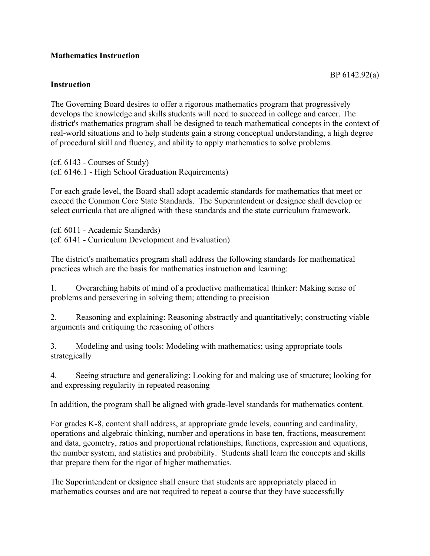## **Mathematics Instruction**

## **Instruction**

The Governing Board desires to offer a rigorous mathematics program that progressively develops the knowledge and skills students will need to succeed in college and career. The district's mathematics program shall be designed to teach mathematical concepts in the context of real-world situations and to help students gain a strong conceptual understanding, a high degree of procedural skill and fluency, and ability to apply mathematics to solve problems.

(cf. 6143 - Courses of Study) (cf. 6146.1 - High School Graduation Requirements)

For each grade level, the Board shall adopt academic standards for mathematics that meet or exceed the Common Core State Standards. The Superintendent or designee shall develop or select curricula that are aligned with these standards and the state curriculum framework.

(cf. 6011 - Academic Standards) (cf. 6141 - Curriculum Development and Evaluation)

The district's mathematics program shall address the following standards for mathematical practices which are the basis for mathematics instruction and learning:

1. Overarching habits of mind of a productive mathematical thinker: Making sense of problems and persevering in solving them; attending to precision

2. Reasoning and explaining: Reasoning abstractly and quantitatively; constructing viable arguments and critiquing the reasoning of others

3. Modeling and using tools: Modeling with mathematics; using appropriate tools strategically

4. Seeing structure and generalizing: Looking for and making use of structure; looking for and expressing regularity in repeated reasoning

In addition, the program shall be aligned with grade-level standards for mathematics content.

For grades K-8, content shall address, at appropriate grade levels, counting and cardinality, operations and algebraic thinking, number and operations in base ten, fractions, measurement and data, geometry, ratios and proportional relationships, functions, expression and equations, the number system, and statistics and probability. Students shall learn the concepts and skills that prepare them for the rigor of higher mathematics.

The Superintendent or designee shall ensure that students are appropriately placed in mathematics courses and are not required to repeat a course that they have successfully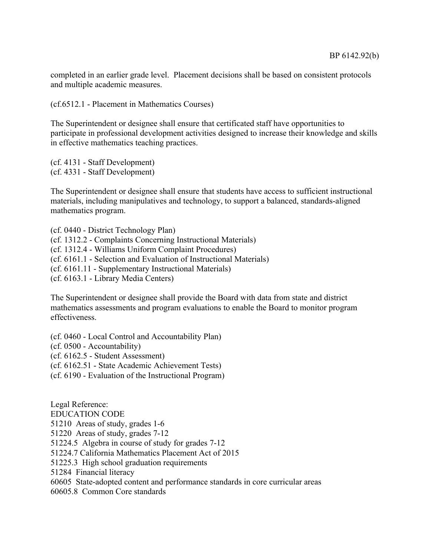completed in an earlier grade level. Placement decisions shall be based on consistent protocols and multiple academic measures.

(cf.6512.1 - Placement in Mathematics Courses)

The Superintendent or designee shall ensure that certificated staff have opportunities to participate in professional development activities designed to increase their knowledge and skills in effective mathematics teaching practices.

(cf. 4131 - Staff Development) (cf. 4331 - Staff Development)

The Superintendent or designee shall ensure that students have access to sufficient instructional materials, including manipulatives and technology, to support a balanced, standards-aligned mathematics program.

(cf. 0440 - District Technology Plan) (cf. 1312.2 - Complaints Concerning Instructional Materials) (cf. 1312.4 - Williams Uniform Complaint Procedures) (cf. 6161.1 - Selection and Evaluation of Instructional Materials) (cf. 6161.11 - Supplementary Instructional Materials) (cf. 6163.1 - Library Media Centers)

The Superintendent or designee shall provide the Board with data from state and district mathematics assessments and program evaluations to enable the Board to monitor program effectiveness.

(cf. 0460 - Local Control and Accountability Plan)

(cf. 0500 - Accountability)

(cf. 6162.5 - Student Assessment)

(cf. 6162.51 - State Academic Achievement Tests)

(cf. 6190 - Evaluation of the Instructional Program)

Legal Reference: EDUCATION CODE 51210 Areas of study, grades 1-6 51220 Areas of study, grades 7-12 51224.5 Algebra in course of study for grades 7-12 51224.7 California Mathematics Placement Act of 2015 51225.3 High school graduation requirements 51284 Financial literacy 60605 State-adopted content and performance standards in core curricular areas 60605.8 Common Core standards